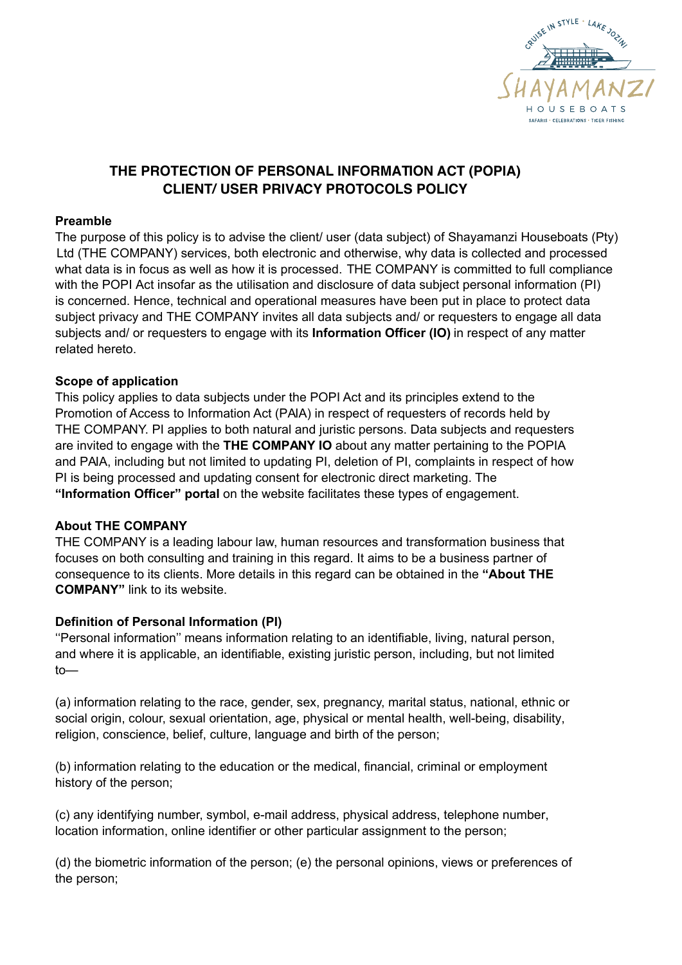

# **THE PROTECTION OF PERSONAL INFORMATION ACT (POPIA) CLIENT/ USER PRIVACY PROTOCOLS POLICY**

#### **Preamble**

The purpose of this policy is to advise the client/ user (data subject) of Shayamanzi Houseboats (Pty) Ltd (THE COMPANY) services, both electronic and otherwise, why data is collected and processed what data is in focus as well as how it is processed. THE COMPANY is committed to full compliance with the POPI Act insofar as the utilisation and disclosure of data subject personal information (PI) is concerned. Hence, technical and operational measures have been put in place to protect data subject privacy and THE COMPANY invites all data subjects and/ or requesters to engage all data subjects and/ or requesters to engage with its **Information Officer (IO)** in respect of any matter related hereto.

### **Scope of application**

This policy applies to data subjects under the POPI Act and its principles extend to the Promotion of Access to Information Act (PAIA) in respect of requesters of records held by THE COMPANY. PI applies to both natural and juristic persons. Data subjects and requesters are invited to engage with the **THE COMPANY IO** about any matter pertaining to the POPIA and PAIA, including but not limited to updating PI, deletion of PI, complaints in respect of how PI is being processed and updating consent for electronic direct marketing. The **"Information Officer" portal** on the website facilitates these types of engagement.

#### **About THE COMPANY**

THE COMPANY is a leading labour law, human resources and transformation business that focuses on both consulting and training in this regard. It aims to be a business partner of consequence to its clients. More details in this regard can be obtained in the **"About THE COMPANY"** link to its website.

### **Definition of Personal Information (PI)**

''Personal information'' means information relating to an identifiable, living, natural person, and where it is applicable, an identifiable, existing juristic person, including, but not limited to—

(a) information relating to the race, gender, sex, pregnancy, marital status, national, ethnic or social origin, colour, sexual orientation, age, physical or mental health, well-being, disability, religion, conscience, belief, culture, language and birth of the person;

(b) information relating to the education or the medical, financial, criminal or employment history of the person;

(c) any identifying number, symbol, e-mail address, physical address, telephone number, location information, online identifier or other particular assignment to the person;

(d) the biometric information of the person; (e) the personal opinions, views or preferences of the person;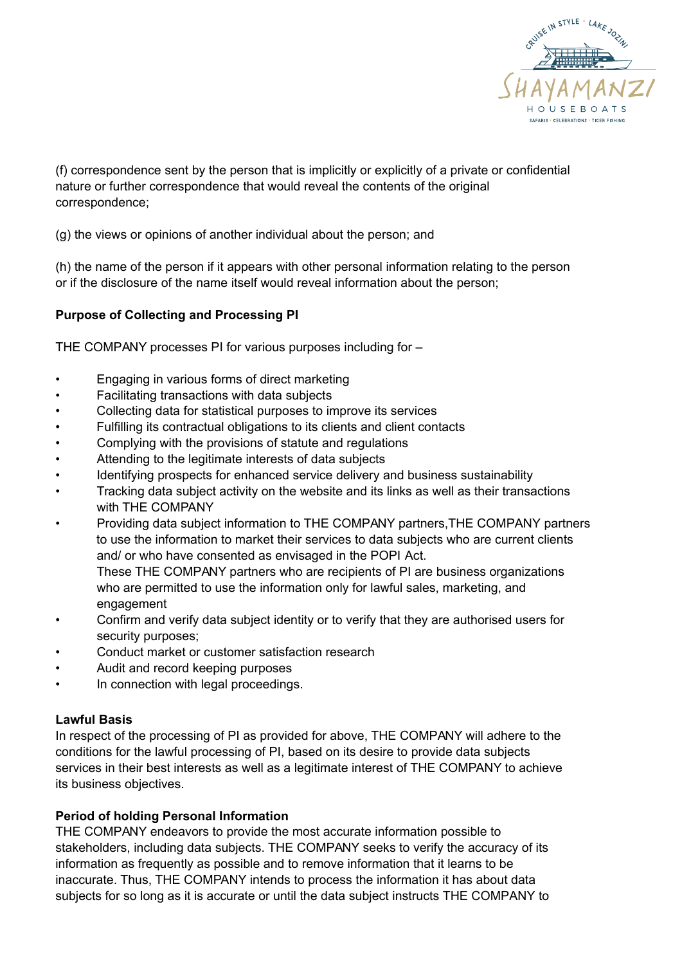

(f) correspondence sent by the person that is implicitly or explicitly of a private or confidential nature or further correspondence that would reveal the contents of the original correspondence;

(g) the views or opinions of another individual about the person; and

(h) the name of the person if it appears with other personal information relating to the person or if the disclosure of the name itself would reveal information about the person;

### **Purpose of Collecting and Processing PI**

THE COMPANY processes PI for various purposes including for –

- Engaging in various forms of direct marketing
- Facilitating transactions with data subjects
- Collecting data for statistical purposes to improve its services
- Fulfilling its contractual obligations to its clients and client contacts
- Complying with the provisions of statute and regulations
- Attending to the legitimate interests of data subjects
- Identifying prospects for enhanced service delivery and business sustainability
- Tracking data subject activity on the website and its links as well as their transactions with THE COMPANY
- Providing data subject information to THE COMPANY partners, THE COMPANY partners to use the information to market their services to data subjects who are current clients and/ or who have consented as envisaged in the POPI Act. These THE COMPANY partners who are recipients of PI are business organizations who are permitted to use the information only for lawful sales, marketing, and
- engagement
- Confirm and verify data subject identity or to verify that they are authorised users for security purposes;
- Conduct market or customer satisfaction research
- Audit and record keeping purposes
- In connection with legal proceedings.

#### **Lawful Basis**

In respect of the processing of PI as provided for above, THE COMPANY will adhere to the conditions for the lawful processing of PI, based on its desire to provide data subjects services in their best interests as well as a legitimate interest of THE COMPANY to achieve its business objectives.

#### **Period of holding Personal Information**

THE COMPANY endeavors to provide the most accurate information possible to stakeholders, including data subjects. THE COMPANY seeks to verify the accuracy of its information as frequently as possible and to remove information that it learns to be inaccurate. Thus, THE COMPANY intends to process the information it has about data subjects for so long as it is accurate or until the data subject instructs THE COMPANY to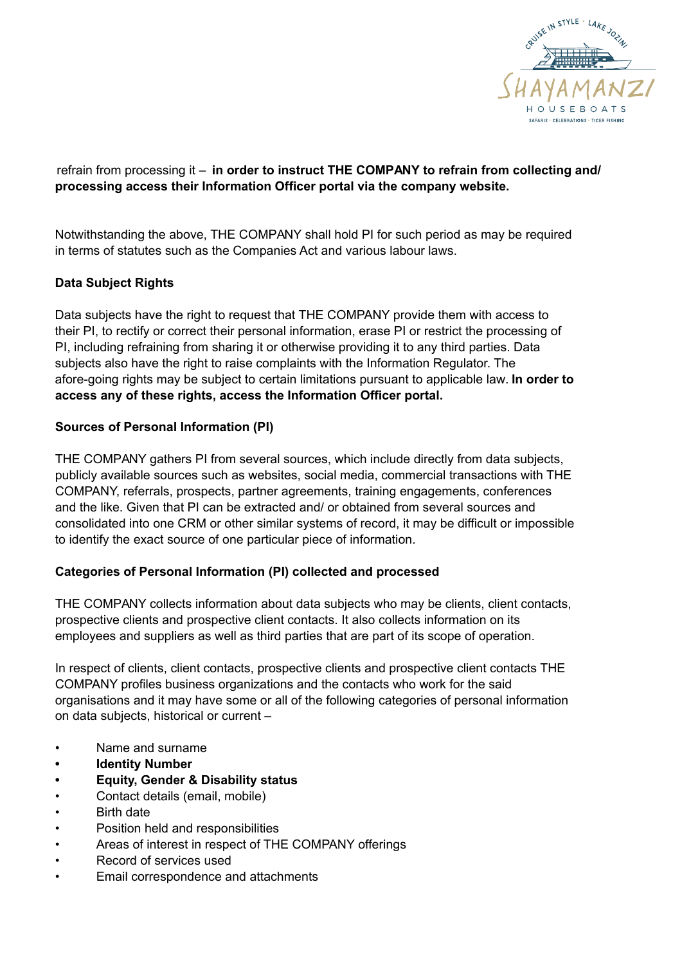

## refrain from processing it – **in order to instruct THE COMPANY to refrain from collecting and/ processing access their Information Officer portal via the company website.**

Notwithstanding the above, THE COMPANY shall hold PI for such period as may be required in terms of statutes such as the Companies Act and various labour laws.

# **Data Subject Rights**

Data subjects have the right to request that THE COMPANY provide them with access to their PI, to rectify or correct their personal information, erase PI or restrict the processing of PI, including refraining from sharing it or otherwise providing it to any third parties. Data subjects also have the right to raise complaints with the Information Regulator. The afore-going rights may be subject to certain limitations pursuant to applicable law. **In order to access any of these rights, access the Information Officer portal.**

### **Sources of Personal Information (PI)**

THE COMPANY gathers PI from several sources, which include directly from data subjects, publicly available sources such as websites, social media, commercial transactions with THE COMPANY, referrals, prospects, partner agreements, training engagements, conferences and the like. Given that PI can be extracted and/ or obtained from several sources and consolidated into one CRM or other similar systems of record, it may be difficult or impossible to identify the exact source of one particular piece of information.

### **Categories of Personal Information (PI) collected and processed**

THE COMPANY collects information about data subjects who may be clients, client contacts, prospective clients and prospective client contacts. It also collects information on its employees and suppliers as well as third parties that are part of its scope of operation.

In respect of clients, client contacts, prospective clients and prospective client contacts THE COMPANY profiles business organizations and the contacts who work for the said organisations and it may have some or all of the following categories of personal information on data subjects, historical or current –

- Name and surname
- **Identity Number**
- **Equity, Gender & Disability status**
- Contact details (email, mobile)
- **Birth date**
- Position held and responsibilities
- Areas of interest in respect of THE COMPANY offerings
- Record of services used
- Email correspondence and attachments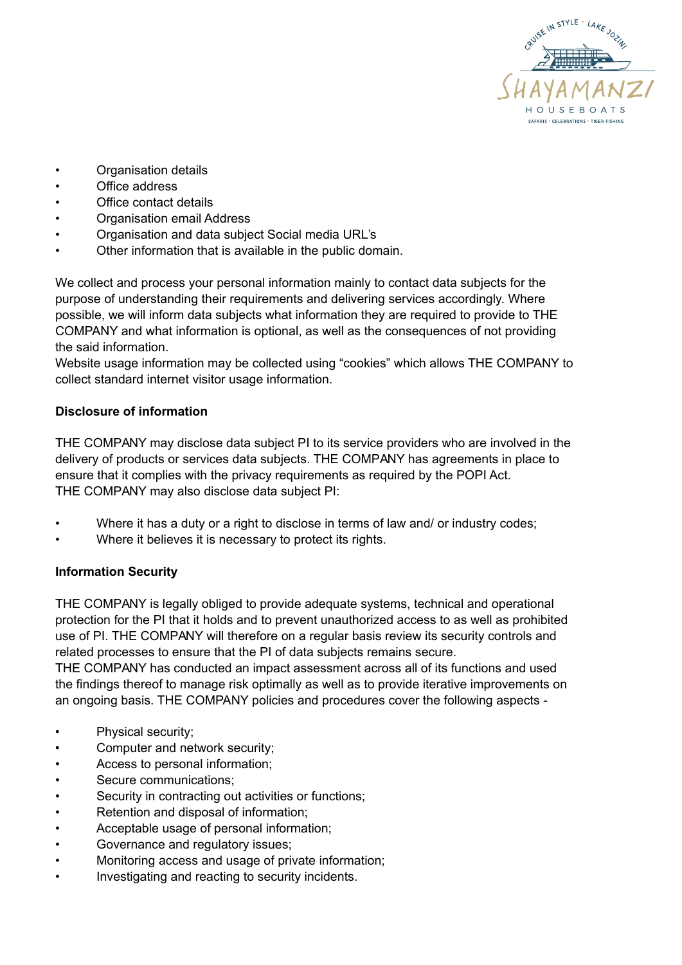

- Organisation details
- Office address
- Office contact details
- Organisation email Address
- Organisation and data subject Social media URL's
- Other information that is available in the public domain.

We collect and process your personal information mainly to contact data subjects for the purpose of understanding their requirements and delivering services accordingly. Where possible, we will inform data subjects what information they are required to provide to THE COMPANY and what information is optional, as well as the consequences of not providing the said information.

Website usage information may be collected using "cookies" which allows THE COMPANY to collect standard internet visitor usage information.

#### **Disclosure of information**

THE COMPANY may disclose data subject PI to its service providers who are involved in the delivery of products or services data subjects. THE COMPANY has agreements in place to ensure that it complies with the privacy requirements as required by the POPI Act. THE COMPANY may also disclose data subject PI:

- Where it has a duty or a right to disclose in terms of law and/ or industry codes;
- Where it believes it is necessary to protect its rights.

#### **Information Security**

THE COMPANY is legally obliged to provide adequate systems, technical and operational protection for the PI that it holds and to prevent unauthorized access to as well as prohibited use of PI. THE COMPANY will therefore on a regular basis review its security controls and related processes to ensure that the PI of data subjects remains secure.

THE COMPANY has conducted an impact assessment across all of its functions and used the findings thereof to manage risk optimally as well as to provide iterative improvements on an ongoing basis. THE COMPANY policies and procedures cover the following aspects -

- Physical security;
- Computer and network security;
- Access to personal information;
- Secure communications;
- Security in contracting out activities or functions;
- Retention and disposal of information;
- Acceptable usage of personal information;
- Governance and regulatory issues;
- Monitoring access and usage of private information;
- Investigating and reacting to security incidents.